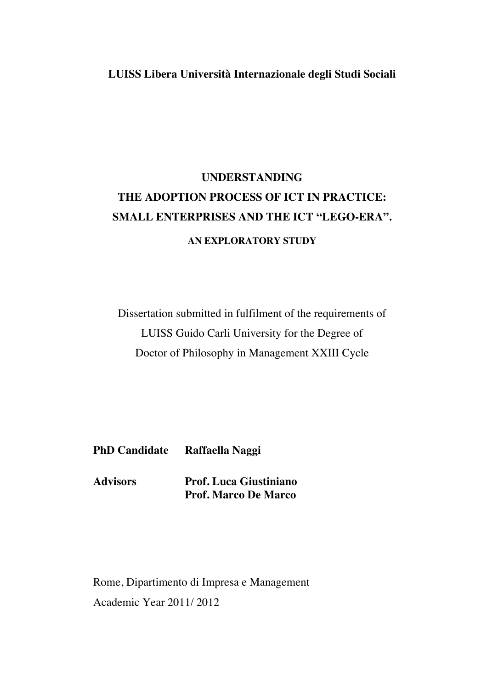## **LUISS Libera Università Internazionale degli Studi Sociali**

## **UNDERSTANDING THE ADOPTION PROCESS OF ICT IN PRACTICE: SMALL ENTERPRISES AND THE ICT "LEGO-ERA". AN EXPLORATORY STUDY**

Dissertation submitted in fulfilment of the requirements of LUISS Guido Carli University for the Degree of Doctor of Philosophy in Management XXIII Cycle

**PhD Candidate Raffaella Naggi**

**Advisors Prof. Luca Giustiniano Prof. Marco De Marco**

Rome, Dipartimento di Impresa e Management Academic Year 2011/ 2012